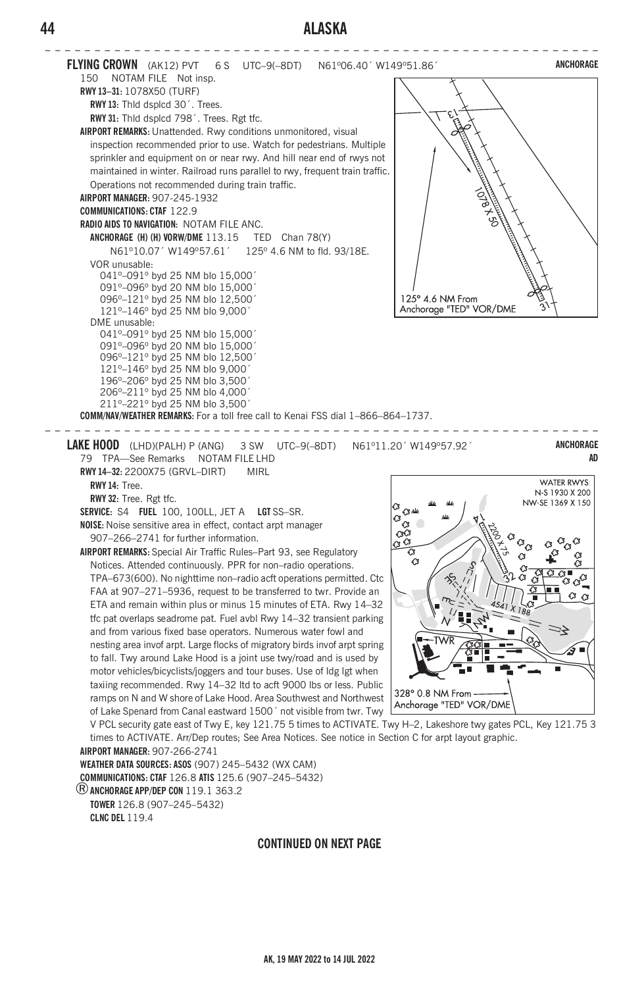# **44 ALASKA**



®**ANCHORAGE APP/DEP CON** 119.1 363.2 **TOWER** 126.8 (907–245–5432) **CLNC DEL** 119.4

#### **CONTINUED ON NEXT PAGE**